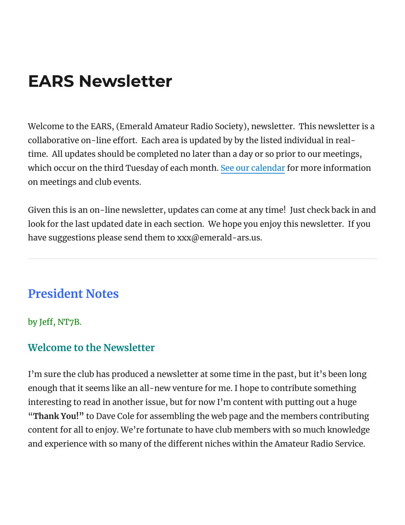# EARS Newsletter

Welcome to the EARS, (Emerald Amateur Radio Society), newsletter. This newsletter is a collaborative on-line effort. Each area is updated by by the listed individual in realtime. All updates should be completed no later than a day or so prior to our meetings, which occur on the third Tuesday of each month. See our [calendar](https://www.emerald-ars.us/calendar/) for more information on meetings and club events.

Given this is an on-line newsletter, updates can come at any time! Just check back in and look for the last updated date in each section. We hope you enjoy this newsletter. If you have suggestions please send them to xxx@emerald-ars.us.

### **President Notes**

by Jeff, NT7B.

### **Welcome to the Newsletter**

I'm sure the club has produced a newsletter at some time in the past, but it's been long enough that it seems like an all-new venture for me. I hope to contribute something interesting to read in another issue, but for now I'm content with putting out a huge "**Thank You!"** to Dave Cole for assembling the web page and the members contributing content for all to enjoy. We're fortunate to have club members with so much knowledge and experience with so many of the different niches within the Amateur Radio Service.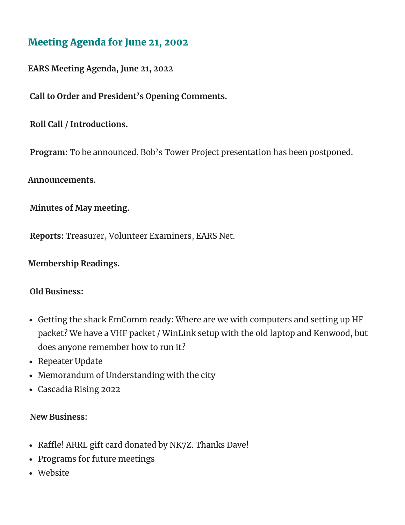### Meeting Agenda for June 21, 2002

#### **EARS Meeting Agenda, June 21, 2022**

**Call to Order and President's Opening Comments.**

**Roll Call / Introductions.**

**Program:** To be announced. Bob's Tower Project presentation has been postponed.

**Announcements.**

**Minutes of May meeting.**

**Reports:** Treasurer, Volunteer Examiners, EARS Net.

**Membership Readings.**

#### **Old Business:**

- Getting the shack EmComm ready: Where are we with computers and setting up HF packet? We have a VHF packet / WinLink setup with the old laptop and Kenwood, but does anyone remember how to run it?
- Repeater Update
- Memorandum of Understanding with the city
- Cascadia Rising 2022

#### **New Business:**

- Raffle! ARRL gift card donated by NK7Z. Thanks Dave!
- Programs for future meetings
- Website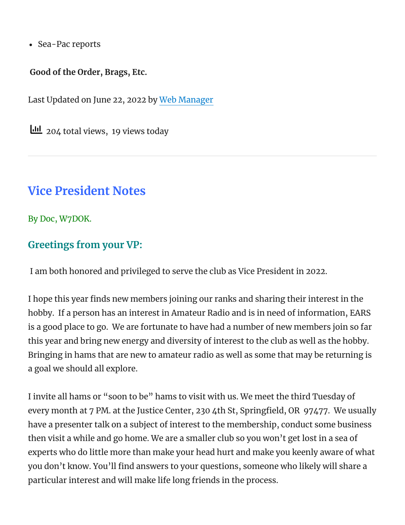• Sea-Pac reports

#### **Good of the Order, Brags, Etc.**

Last Updated on June 22, 2022 by Web [Manager](http://www.emerald-ars.us/)

 $\underline{\text{III}}$  204 total views, 19 views today

### **Vice President Notes**

By Doc, W7DOK.

### **Greetings from your VP:**

I am both honored and privileged to serve the club as Vice President in 2022.

I hope this year finds new members joining our ranks and sharing their interest in the hobby. If a person has an interest in Amateur Radio and is in need of information, EARS is a good place to go. We are fortunate to have had a number of new members join so far this year and bring new energy and diversity of interest to the club as well as the hobby. Bringing in hams that are new to amateur radio as well as some that may be returning is a goal we should all explore.

I invite all hams or "soon to be" hams to visit with us. We meet the third Tuesday of every month at 7 PM. at the Justice Center, 230 4th St, Springfield, OR 97477. We usually have a presenter talk on a subject of interest to the membership, conduct some business then visit a while and go home. We are a smaller club so you won't get lost in a sea of experts who do little more than make your head hurt and make you keenly aware of what you don't know. You'll find answers to your questions, someone who likely will share a particular interest and will make life long friends in the process.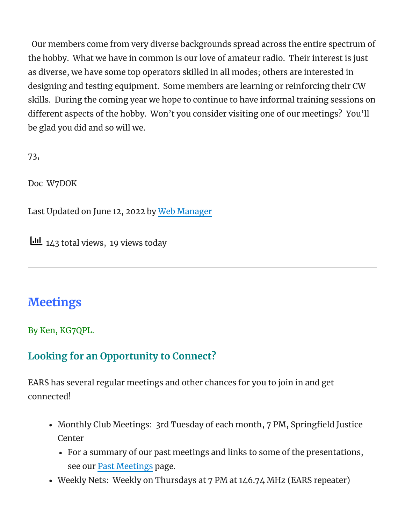Our members come from very diverse backgrounds spread across the entire spectrum of the hobby. What we have in common is our love of amateur radio. Their interest is just as diverse, we have some top operators skilled in all modes; others are interested in designing and testing equipment. Some members are learning or reinforcing their CW skills. During the coming year we hope to continue to have informal training sessions on different aspects of the hobby. Won't you consider visiting one of our meetings? You'll be glad you did and so will we.

73,

Doc W7DOK

Last Updated on June 12, 2022 by Web [Manager](http://www.emerald-ars.us/)

 $\frac{1}{14}$  143 total views, 19 views today

### **Meetings**

By Ken, KG7QPL.

### **Looking for an Opportunity to Connect?**

EARS has several regular meetings and other chances for you to join in and get connected!

- Monthly Club Meetings: 3rd Tuesday of each month, 7 PM, Springfield Justice Center
	- For a summary of our past meetings and links to some of the presentations, see our Past [Meetings](https://www.emerald-ars.us/past-meetings/) page.
- Weekly Nets: Weekly on Thursdays at 7 PM at 146.74 MHz (EARS repeater)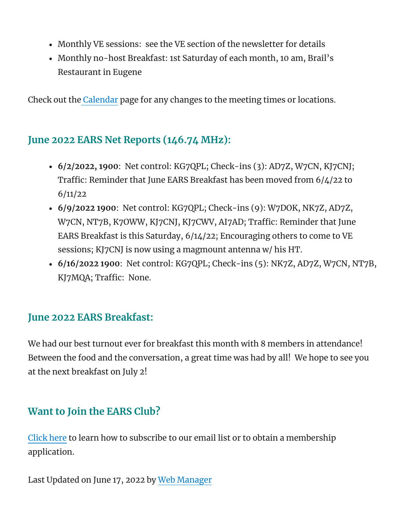- Monthly VE sessions: see the VE section of the newsletter for details
- Monthly no-host Breakfast: 1st Saturday of each month, 10 am, Brail's Restaurant in Eugene

Check out the [Calendar](https://www.emerald-ars.us/calendar/) page for any changes to the meeting times or locations.

### **June 2022 EARS Net Reports (146.74 MHz):**

- **6/2/2022, 1900**: Net control: KG7QPL; Check-ins (3): AD7Z, W7CN, KJ7CNJ; Traffic: Reminder that June EARS Breakfast has been moved from 6/4/22 to 6/11/22
- **6/9/2022 1900**: Net control: KG7QPL; Check-ins (9): W7DOK, NK7Z, AD7Z, W7CN, NT7B, K7OWW, KJ7CNJ, KJ7CWV, AI7AD; Traffic: Reminder that June EARS Breakfast is this Saturday, 6/14/22; Encouraging others to come to VE sessions; KJ7CNJ is now using a magmount antenna w/ his HT.
- **6/16/2022 1900**: Net control: KG7QPL; Check-ins (5): NK7Z, AD7Z, W7CN, NT7B, KJ7MQA; Traffic: None.

### **June 2022 EARS Breakfast:**

We had our best turnout ever for breakfast this month with 8 members in attendance! Between the food and the conversation, a great time was had by all! We hope to see you at the next breakfast on July 2!

### **Want to Join the EARS Club?**

[Click](https://www.emerald-ars.us/become-a-member/) here to learn how to subscribe to our email list or to obtain a membership application.

Last Updated on June 17, 2022 by Web [Manager](http://www.emerald-ars.us/)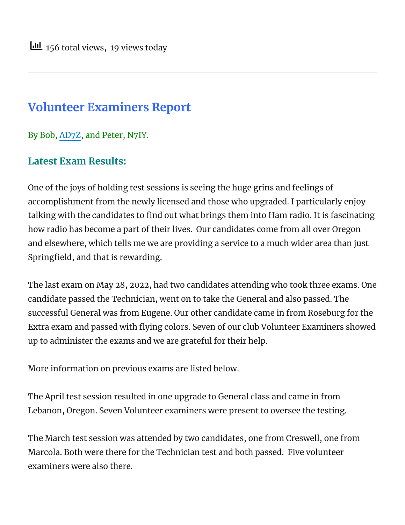### **Volunteer Examiners Report**

By Bob, [AD7Z](https://ad7z.com/), and Peter, N7IY.

### **Latest Exam Results:**

One of the joys of holding test sessions is seeing the huge grins and feelings of accomplishment from the newly licensed and those who upgraded. I particularly enjoy talking with the candidates to find out what brings them into Ham radio. It is fascinating how radio has become a part of their lives. Our candidates come from all over Oregon and elsewhere, which tells me we are providing a service to a much wider area than just Springfield, and that is rewarding.

The last exam on May 28, 2022, had two candidates attending who took three exams. One candidate passed the Technician, went on to take the General and also passed. The successful General was from Eugene. Our other candidate came in from Roseburg for the Extra exam and passed with flying colors. Seven of our club Volunteer Examiners showed up to administer the exams and we are grateful for their help.

More information on previous exams are listed below.

The April test session resulted in one upgrade to General class and came in from Lebanon, Oregon. Seven Volunteer examiners were present to oversee the testing.

The March test session was attended by two candidates, one from Creswell, one from Marcola. Both were there for the Technician test and both passed. Five volunteer examiners were also there.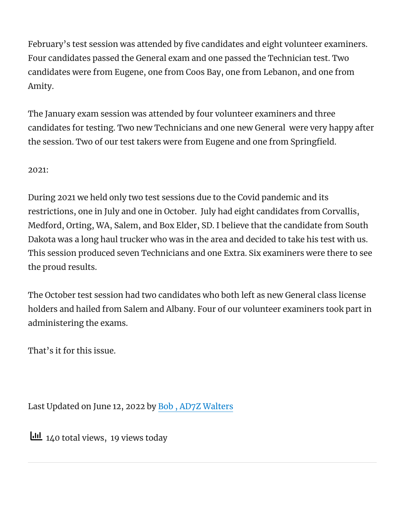February's test session was attended by five candidates and eight volunteer examiners. Four candidates passed the General exam and one passed the Technician test. Two candidates were from Eugene, one from Coos Bay, one from Lebanon, and one from Amity.

The January exam session was attended by four volunteer examiners and three candidates for testing. Two new Technicians and one new General were very happy after the session. Two of our test takers were from Eugene and one from Springfield.

#### 2021:

During 2021 we held only two test sessions due to the Covid pandemic and its restrictions, one in July and one in October. July had eight candidates from Corvallis, Medford, Orting, WA, Salem, and Box Elder, SD. I believe that the candidate from South Dakota was a long haul trucker who was in the area and decided to take his test with us. This session produced seven Technicians and one Extra. Six examiners were there to see the proud results.

The October test session had two candidates who both left as new General class license holders and hailed from Salem and Albany. Four of our volunteer examiners took part in administering the exams.

That's it for this issue.

Last Updated on June 12, 2022 by Bob , AD7Z [Walters](https://www.ad7z.com/)

 $140$  total views, 19 views today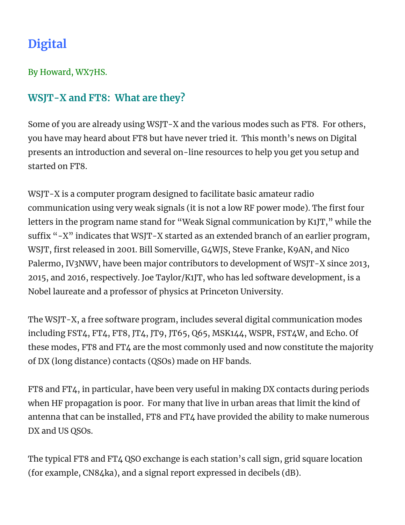## **Digital**

By Howard, WX7HS.

### **WSJT-X and FT8: What are they?**

Some of you are already using WSJT-X and the various modes such as FT8. For others, you have may heard about FT8 but have never tried it. This month's news on Digital presents an introduction and several on-line resources to help you get you setup and started on FT8.

WSJT-X is a computer program designed to facilitate basic amateur radio communication using very weak signals (it is not a low RF power mode). The first four letters in the program name stand for "Weak Signal communication by K1JT," while the suffix "-X" indicates that WSJT-X started as an extended branch of an earlier program, WSJT, first released in 2001. Bill Somerville, G4WJS, Steve Franke, K9AN, and Nico Palermo, IV3NWV, have been major contributors to development of WSJT-X since 2013, 2015, and 2016, respectively. Joe Taylor/K1JT, who has led software development, is a Nobel laureate and a professor of physics at Princeton University.

The WSJT-X, a free software program, includes several digital communication modes including FST4, FT4, FT8, JT4, JT9, JT65, Q65, MSK144, WSPR, FST4W, and Echo. Of these modes, FT8 and FT4 are the most commonly used and now constitute the majority of DX (long distance) contacts (QSOs) made on HF bands.

FT8 and FT4, in particular, have been very useful in making DX contacts during periods when HF propagation is poor. For many that live in urban areas that limit the kind of antenna that can be installed, FT8 and FT4 have provided the ability to make numerous DX and US QSOs.

The typical FT8 and FT4 QSO exchange is each station's call sign, grid square location (for example, CN84ka), and a signal report expressed in decibels (dB).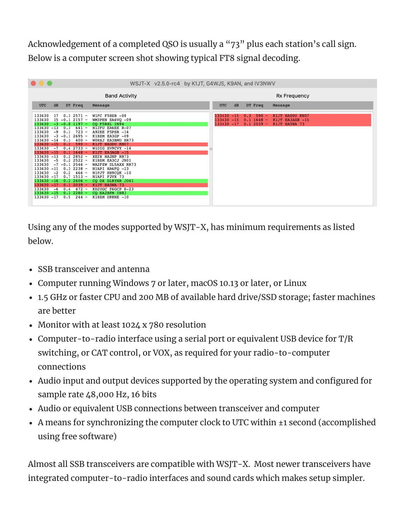Acknowledgement of a completed QSO is usually a "73" plus each station's call sign. Below is a computer screen shot showing typical FT8 signal decoding.

| .<br>WSJT-X v2.5.0-rc4 by K1JT, G4WJS, K9AN, and IV3NWV                                                                                                                                                                                                                                                                                                                                                                                                                                                                                                                                                                                                          |                                                                                                                                                                                                                                                                                                                                                                                                                     |                                                                                                                                                |
|------------------------------------------------------------------------------------------------------------------------------------------------------------------------------------------------------------------------------------------------------------------------------------------------------------------------------------------------------------------------------------------------------------------------------------------------------------------------------------------------------------------------------------------------------------------------------------------------------------------------------------------------------------------|---------------------------------------------------------------------------------------------------------------------------------------------------------------------------------------------------------------------------------------------------------------------------------------------------------------------------------------------------------------------------------------------------------------------|------------------------------------------------------------------------------------------------------------------------------------------------|
|                                                                                                                                                                                                                                                                                                                                                                                                                                                                                                                                                                                                                                                                  | <b>Band Activity</b>                                                                                                                                                                                                                                                                                                                                                                                                | <b>Rx Frequency</b>                                                                                                                            |
| UTC<br>dB<br>DT Freq                                                                                                                                                                                                                                                                                                                                                                                                                                                                                                                                                                                                                                             | Message                                                                                                                                                                                                                                                                                                                                                                                                             | <b>UTC</b><br>dB<br>DT Freq<br>Message                                                                                                         |
| $0.32571 -$<br>133430<br>17<br>$15 - 0.1$ 2157 -<br>133430<br>$133430 -3 -0.81197 -$<br>$133430 - 13$<br>$641 -$<br>0.3<br>$-9$ 0.1 723 -<br>133430<br>133430<br>$-3$ $-0.1$ 2695 $-$<br>$133430 - 14$ 0.3 400 -<br>$133430 - 15$ 0.3 590 -<br>$133430 - 7$<br>$0.42733 -$<br>$133430 - 15$<br>$0.1$ 1648 ~<br>$133430 - 13$<br>$0.22852 -$<br>$0.22522 -$<br>133430<br>$-5$<br>133430<br>$-7$ -0.1 2546 ~<br>$133430 - 11$<br>$0.32238 -$<br>$133430 -2 0.2 466 -$<br>133430 -17<br>$0.7$ 1513 -<br>$133430 - 16$<br>$0.22606 -$<br>$133430 - 17$<br>$0.12039 -$<br>$133430 - 6$<br>$0.4$ 472 -<br>133430 -15<br>$0.12280 -$<br>$133430 - 17$<br>0.5<br>$244 -$ | W1FC F5BZB $-08$<br>WM3PEN EA6VQ -09<br>CQ F5RXL IN94<br>N1JFU EA6EE R-07<br>A92EE F5PSR -14<br>K1BZM EA3GP -09<br>WORSJ EA3BMU RR73<br>KIJT HAODU KNO7<br>WIDIG SV9CVY -14<br>KIJT EA3AGB -15<br>XE2X HA2NP RR73<br>K1BZM EA3CJ JN01<br>WA2FZW DL5AXX RR73<br>N1API HA6FQ -23<br>N1PJT HB9COK -10<br>N1API F2VX 73<br>CQ DX DL8YHR JO41<br>K1JT HA5WA 73<br>KD2UGC F6GCP R-23<br>CO EA2BFM IN83<br>K1BZM DK8NE -10 | $590 -$<br>K1JT HAODU KNO7<br>$133430 - 15$<br>0.3<br>$133430 - 15$ 0.1 1648 -<br>K1JT EA3AGB -15<br>$133430 - 17$ 0.1 2039 -<br>K1JT HA5WA 73 |

Using any of the modes supported by WSJT-X, has minimum requirements as listed below.

- SSB transceiver and antenna
- Computer running Windows 7 or later, macOS 10.13 or later, or Linux
- 1.5 GHz or faster CPU and 200 MB of available hard drive/SSD storage; faster machines are better
- Monitor with at least 1024 x 780 resolution
- Computer-to-radio interface using a serial port or equivalent USB device for T/R switching, or CAT control, or VOX, as required for your radio-to-computer connections
- Audio input and output devices supported by the operating system and configured for sample rate 48,000 Hz, 16 bits
- Audio or equivalent USB connections between transceiver and computer
- A means for synchronizing the computer clock to UTC within ±1 second (accomplished using free software)

Almost all SSB transceivers are compatible with WSJT-X. Most newer transceivers have integrated computer-to-radio interfaces and sound cards which makes setup simpler.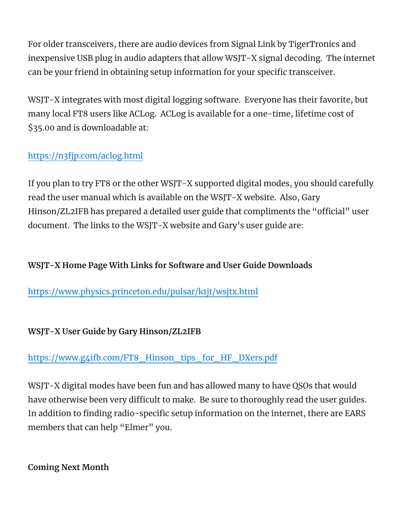For older transceivers, there are audio devices from Signal Link by TigerTronics and inexpensive USB plug in audio adapters that allow WSJT-X signal decoding. The internet can be your friend in obtaining setup information for your specific transceiver.

WSJT-X integrates with most digital logging software. Everyone has their favorite, but many local FT8 users like ACLog. ACLog is available for a one-time, lifetime cost of \$35.00 and is downloadable at:

### <https://n3fjp.com/aclog.html>

If you plan to try FT8 or the other WSJT-X supported digital modes, you should carefully read the user manual which is available on the WSJT-X website. Also, Gary Hinson/ZL2IFB has prepared a detailed user guide that compliments the "official" user document. The links to the WSJT-X website and Gary's user guide are:

### **WSJT-X Home Page With Links for Software and User Guide Downloads**

<https://www.physics.princeton.edu/pulsar/k1jt/wsjtx.html>

#### **WSJT-X User Guide by Gary Hinson/ZL2IFB**

#### [https://www.g4ifb.com/FT8\\_Hinson\\_tips\\_for\\_HF\\_DXers.pdf](https://www.g4ifb.com/FT8_Hinson_tips_for_HF_DXers.pdf)

WSJT-X digital modes have been fun and has allowed many to have QSOs that would have otherwise been very difficult to make. Be sure to thoroughly read the user guides. In addition to finding radio-specific setup information on the internet, there are EARS members that can help "Elmer" you.

#### **Coming Next Month**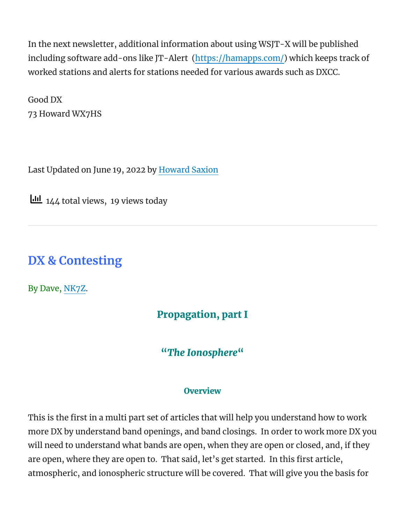In the next newsletter, additional information about using WSJT-X will be published including software add-ons like JT-Alert [\(https://hamapps.com/](https://hamapps.com/)) which keeps track of worked stations and alerts for stations needed for various awards such as DXCC.

Good DX 73 Howard WX7HS

Last Updated on June 19, 2022 by [Howard](https://www.emerald-ars.us/ears-newsletter/) Saxion

 $\underline{\text{III}}$  144 total views, 19 views today

### **DX & Contesting**

By Dave, [NK7Z](https://www.nk7z.net/).

### Propagation, part I

### "*The Ionosphere*"

#### **Overview**

This is the first in a multi part set of articles that will help you understand how to work more DX by understand band openings, and band closings. In order to work more DX you will need to understand what bands are open, when they are open or closed, and, if they are open, where they are open to. That said, let's get started. In this first article, atmospheric, and ionospheric structure will be covered. That will give you the basis for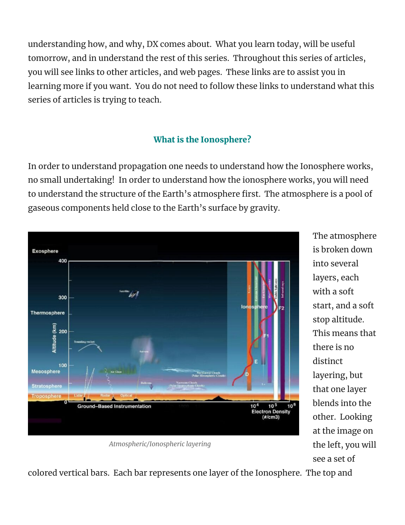understanding how, and why, DX comes about. What you learn today, will be useful tomorrow, and in understand the rest of this series. Throughout this series of articles, you will see links to other articles, and web pages. These links are to assist you in learning more if you want. You do not need to follow these links to understand what this series of articles is trying to teach.

### What is the Ionosphere?

In order to understand propagation one needs to understand how the Ionosphere works, no small undertaking! In order to understand how the ionosphere works, you will need to understand the structure of the Earth's atmosphere first. The atmosphere is a pool of gaseous components held close to the Earth's surface by gravity.



*Atmospheric/Ionospheric layering*

The atmosphere is broken down into several layers, each with a soft start, and a soft stop altitude. This means that there is no distinct layering, but that one layer blends into the other. Looking at the image on the left, you will see a set of

colored vertical bars. Each bar represents one layer of the Ionosphere. The top and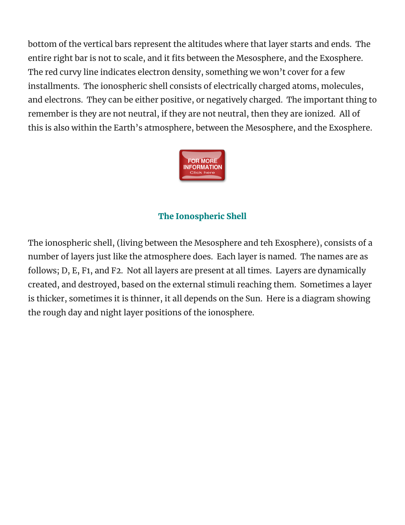bottom of the vertical bars represent the altitudes where that layer starts and ends. The entire right bar is not to scale, and it fits between the Mesosphere, and the Exosphere. The red curvy line indicates electron density, something we won't cover for a few installments. The ionospheric shell consists of electrically charged atoms, molecules, and electrons. They can be either positive, or negatively charged. The important thing to remember is they are not neutral, if they are not neutral, then they are ionized. All of this is also within the Earth's atmosphere, between the Mesosphere, and the Exosphere.



#### The Ionospheric Shell

The ionospheric shell, (living between the Mesosphere and teh Exosphere), consists of a number of layers just like the atmosphere does. Each layer is named. The names are as follows; D, E, F1, and F2. Not all layers are present at all times. Layers are dynamically created, and destroyed, based on the external stimuli reaching them. Sometimes a layer is thicker, sometimes it is thinner, it all depends on the Sun. Here is a diagram showing the rough day and night layer positions of the ionosphere.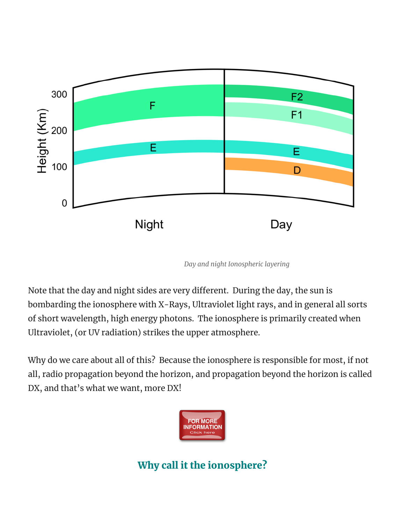

*Day and night Ionospheric layering*

Note that the day and night sides are very different. During the day, the sun is bombarding the ionosphere with X-Rays, Ultraviolet light rays, and in general all sorts of short wavelength, high energy photons. The ionosphere is primarily created when Ultraviolet, (or UV radiation) strikes the upper atmosphere.

Why do we care about all of this? Because the ionosphere is responsible for most, if not all, radio propagation beyond the horizon, and propagation beyond the horizon is called DX, and that's what we want, more DX!



Why call it the ionosphere?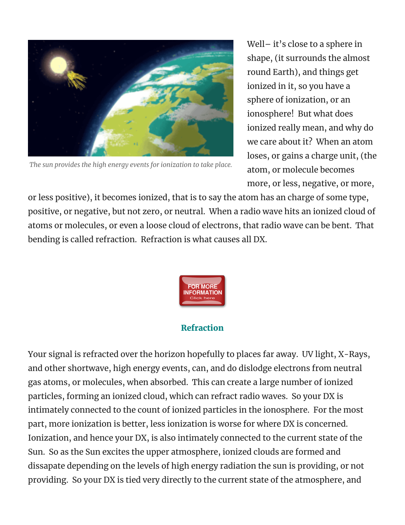

*The sun provides the high energy events for ionization to take place.*

Well– it's close to a sphere in shape, (it surrounds the almost round Earth), and things get ionized in it, so you have a sphere of ionization, or an ionosphere! But what does ionized really mean, and why do we care about it? When an atom loses, or gains a charge unit, (the atom, or molecule becomes more, or less, negative, or more,

or less positive), it becomes ionized, that is to say the atom has an charge of some type, positive, or negative, but not zero, or neutral. When a radio wave hits an ionized cloud of atoms or molecules, or even a loose cloud of electrons, that radio wave can be bent. That bending is called refraction. Refraction is what causes all DX.



#### Refraction

Your signal is refracted over the horizon hopefully to places far away. UV light, X-Rays, and other shortwave, high energy events, can, and do dislodge electrons from neutral gas atoms, or molecules, when absorbed. This can create a large number of ionized particles, forming an ionized cloud, which can refract radio waves. So your DX is intimately connected to the count of ionized particles in the ionosphere. For the most part, more ionization is better, less ionization is worse for where DX is concerned. Ionization, and hence your DX, is also intimately connected to the current state of the Sun. So as the Sun excites the upper atmosphere, ionized clouds are formed and dissapate depending on the levels of high energy radiation the sun is providing, or not providing. So your DX is tied very directly to the current state of the atmosphere, and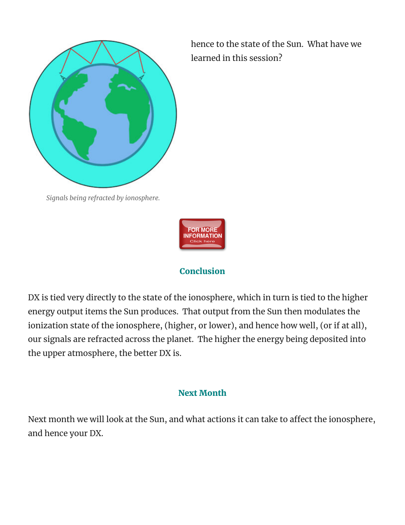

hence to the state of the Sun. What have we learned in this session?

*Signals being refracted by ionosphere.*



#### **Conclusion**

DX is tied very directly to the state of the ionosphere, which in turn is tied to the higher energy output items the Sun produces. That output from the Sun then modulates the ionization state of the ionosphere, (higher, or lower), and hence how well, (or if at all), our signals are refracted across the planet. The higher the energy being deposited into the upper atmosphere, the better DX is.

#### Next Month

Next month we will look at the Sun, and what actions it can take to affect the ionosphere, and hence your DX.